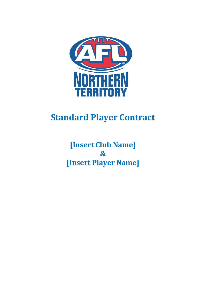

# **Standard Player Contract**

**[Insert Club Name] & [Insert Player Name]**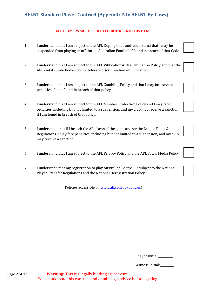### **ALL PLAYERS MUST TICK EACH BOX & SIGN THIS PAGE**

- 1. I understand that I am subject to the AFL Doping Code and understand that I may be suspended from playing or officiating Australian Football if found in breach of that Code
- 2. I understand that I am subject to the AFL Vilification & Discrimination Policy and that the AFL and its State Bodies do not tolerate discrimination or vilification.
- 3. I understand that I am subject to the AFL Gambling Policy and that I may face severe penalties if I am found in breach of that policy.
- 4. I understand that I am subject to the AFL Member Protection Policy and I may face penalties, including but not limited to a suspension, and my club may receive a sanction, if I am found in breach of that policy.
- 5. I understand that if I breach the AFL Laws of the game and/or the League Rules & Regulations, I may face penalties, including but not limited to a suspension, and my club may receive a sanction.
- 6. I understand that I am subject to the AFL Privacy Policy and the AFL Social Media Policy.
- 7. I understand that my registration to play Australian Football is subject to the National Player Transfer Regulations and the National Deregistration Policy.

(Policies accessible at[: www.afl.com.au/policies\)](http://www.afl.com.au/policies)

|  | Player Initial: |
|--|-----------------|
|--|-----------------|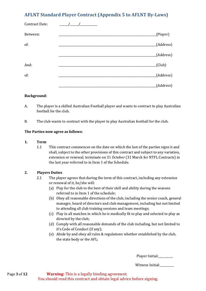| Contract Date: |           |
|----------------|-----------|
| Between:       | (Player)  |
| of:            | (Address) |
|                | (Address) |
| And:           | (Club)    |
| of:            | (Address) |
|                | (Address) |

#### **Background:**

- A. The player is a skilled Australian Football player and wants to contract to play Australian football for the club.
- B. The club wants to contract with the player to play Australian football for the club.

### **The Parties now agree as follows:**

### **1. Term**

1.1 This contract commences on the date on which the last of the parties signs it and shall, subject to the other provisions of this contract and subject to any variation, extension or renewal, terminate on 31 October (31 March for NTFL Contracts) in the last year referred to in Item 1 of the Schedule.

### **2. Players Duties**

- 2.1 The player agrees that during the term of this contract, including any extension or renewal of it, he/she will:
	- (a) Play for the club to the best of their skill and ability during the seasons referred to in Item 1 of the schedule;
	- (b) Obey all reasonable directions of the club, including the senior coach, general manager, board of directors and club management, including but not limited to attending all club training sessions and team meetings;
	- (c) Play in all matches in which he is medically fit to play and selected to play as directed by the club;
	- (d) Comply with all reasonable demands of the club including, but not limited to it's Code of Conduct (if any);
	- (e) Abide by and obey all rules & regulations whether established by the club, the state body or the AFL;

Player Initial: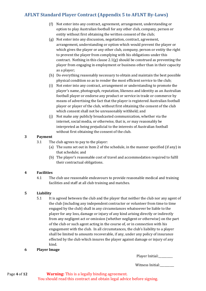- (f) Not enter into any contract, agreement, arrangement, understanding or option to play Australian football for any other club, company, person or entity without first obtaining the written consent of the club;
- (g) Not enter into any discussion, negotiation, contract, agreement, arrangement, understanding or option which would prevent the player or which gives the player or any other club, company, person or entity the right to prevent the player from complying with his obligations under this contract. Nothing in this clause 2.1(g) should be construed as preventing the player from engaging in employment or business other than in their capacity as a player;
- (h) Do everything reasonably necessary to obtain and maintain the best possible physical condition so as to render the most efficient service to the club;
- (i) Not enter into any contract, arrangement or understanding to promote the player's name, photograph, reputation, likeness and identity as an Australian football player or endorse any product or service in trade or commerce by means of advertising the fact that the player is registered Australian football player or player of the club, without first obtaining the consent of the club which consent shall not be unreasonably withheld; and
- (j) Not make any publicly broadcasted communication, whether via the internet, social media, or otherwise, that is, or may reasonably be interpreted as being prejudicial to the interests of Australian football without first obtaining the consent of the club.

### **3 Payment**

- 3.1 The club agrees to pay to the player:
	- (a) The sums set out in Item 2 of the schedule, in the manner specified (if any) in that schedule; and
	- (b) The player's reasonable cost of travel and accommodation required to fulfil their contractual obligations.

### **4 Facilities**

4.1 The club use reasonable endeavours to provide reasonable medical and training facilities and staff at all club training and matches.

### **5 Liability**

- 5.1 It is agreed between the club and the player that neither the club nor any agent of the club (including any independent contractor or volunteer from time to time engaged by the club) shall in any circumstances whatsoever be liable to the player for any loss, damage or injury of any kind arising directly or indirectly from any negligent act or omission (whether negligent or otherwise) on the part of the club or such agent acting in the course of, or in connection with his engagement with the club. In all circumstances, the club's liability to a player shall be limited to amounts recoverable, if any, under any policy of insurance effected by the club which insures the player against damage or injury of any kind.
- **6 Player Image**

| Player Initial: |  |  |  |
|-----------------|--|--|--|
|-----------------|--|--|--|

Witness Initial:\_\_\_\_\_\_\_\_\_\_

Page **4** of **12 Warning:** This is a legally binding agreement. You should read this contract and obtain legal advice before signing.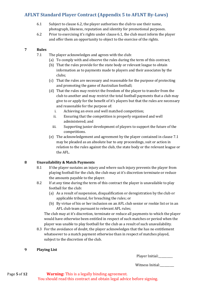- 6.1 Subject to clause 6.2, the player authorises the club to use their name, photograph, likeness, reputation and identity for promotional purposes.
- 6.2 Prior to exercising it's rights under clause 6.1, the club must inform the player and offer them an opportunity to object to the exercise of the rights.

### **7 Rules**

- 7.1 The player acknowledges and agrees with the club:
	- (a) To comply with and observe the rules during the term of this contract;
	- (b) That the rules provide for the state body or relevant league to obtain information as to payments made to players and their associates by the clubs;
	- (c) That the rules are necessary and reasonable for the purpose of protecting and promoting the game of Australian football;
	- (d) That the rules may restrict the freedom of the player to transfer from the club to another and may restrict the total football payments that a club may give to or apply for the benefit of it's players but that the rules are necessary and reasonable for the purpose of:
		- i. Achieving an even and well matched competition;
		- ii. Ensuring that the competition is properly organised and well administered; and
		- iii. Supporting junior development of players to support the future of the competitions.
	- (e) The acknowledgement and agreement by the player contained in clause 7.1 may be pleaded as an absolute bar to any proceedings, suit or action in relation to the rules against the club, the state body or the relevant league or the AFL.

### **8 Unavailability & Match Payments**

- 8.1 If the player sustains an injury and where such injury prevents the player from playing football for the club, the club may at it's discretion terminate or reduce the amounts payable to the player.
- 8.2 If at any time during the term of this contract the player is unavailable to play football for the club:
	- (a) As a result of suspension, disqualification or deregistration by the club or applicable tribunal, for breaching the rules; or
	- (b) By virtue of his or her inclusion on an AFL club senior or rookie list or in an AFL club team pursuant to relevant AFL rules;

The club may at it's discretion, terminate or reduce all payments to which the player would have otherwise been entitled in respect of such matches or period when the player was unable to play football for the club as a result of such unavailability.

8.3 For the avoidance of doubt, the player acknowledges that the has no entitlement whatsoever to a match payment otherwise than in respect of matches played, subject to the discretion of the club.

### **9 Playing List**

Player Initial:

Witness Initial:\_\_\_\_\_\_\_\_\_\_

Page **5** of **12 Warning:** This is a legally binding agreement. You should read this contract and obtain legal advice before signing.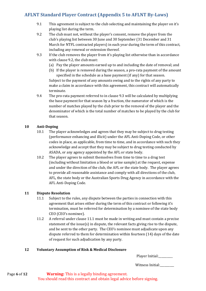- 9.1 This agreement is subject to the club selecting and maintaining the player on it's playing list during the term.
- 9.2 The club must not, without the player's consent, remove the player from the club's playing list between 30 June and 30 September (31 December and 31 March for NTFL contracted players) in each year during the term of this contract, including any renewal or extension thereof.
- 9.3 If the club removes the player from it's playing list otherwise than in accordance with clause 9.2, the club must:
	- (a) Pay the player amounts earned up to and including the date of removal; and
	- (b) If the player is removed during the season, a pro-rata payment of the amount specified in the schedule as a base payment (if any) for that season. Subject to the payment of any amounts owing and to the rights of any party to make a claim in accordance with this agreement, this contract will automatically terminate.
- 9.4 The pro-rata payment referred to in clause 9.3 will be calculated by multiplying the base payment for that season by a fraction, the numerator of which is the number of matches played by the club prior to the removal of the player and the denominator of which is the total number of matches to be played by the club for that season.

### **10 Anti-Doping**

- 10.1 The player acknowledges and agrees that they may be subject to drug testing (performance enhancing and illicit) under the AFL Anti-Doping Code, or other codes in place, as applicable, from time to time, and in accordance with such they acknowledge and accept that they may be subject to drug testing conducted by ASADA, or any agency appointed by the AFL or state body.
- 10.2 The player agrees to submit themselves from time to time to a drug test (including without limitation a blood or urine sample) at the request, expense and under the direction of the club, the AFL or the state body. The player agrees to provide all reasonable assistance and comply with all directions of the club, AFL, the state body or the Australian Sports Drug Agency in accordance with the AFL Anti-Doping Code.

### **11 Dispute Resolution**

- 11.1 Subject to the rules, any dispute between the parties in connection with this agreement that arises either during the term of this contract or following it's termination, must be referred for determination by a nominee of the state body CEO (CEO's nominee).
- 11.2 A referral under clause 11.1 must be made in writing and must contain a precise statement of the issue(s) in dispute, the relevant facts giving rise to the dispute, and be sent to the other party. The CEO's nominee must adjudicate upon any dispute referred to them for determination within fourteen (14) days of the date of request for such adjudication by any party.

### **12 Voluntary Assumption of Risk & Medical Disclosure**

|  | Player Initial: |
|--|-----------------|
|--|-----------------|

Witness Initial:\_\_\_\_\_\_\_\_\_\_

Page **6** of **12 Warning:** This is a legally binding agreement. You should read this contract and obtain legal advice before signing.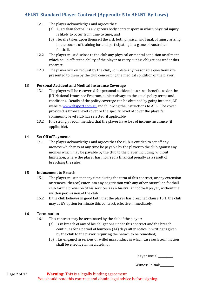- 12.1 The player acknowledges and agrees that:
	- (a) Australian football is a vigorous body contact sport in which physical injury is likely to occur from time to time; and
	- (b) He/she takes upon themself the risk both physical and legal, of injury arising in the course of training for and participating in a game of Australian football.
- 12.2 The player must disclose to the club any physical or mental condition or ailment which could affect the ability of the player to carry out his obligations under this contract.
- 12.3 The player will on request by the club, complete any reasonable questionnaire presented to them by the club concerning the medical condition of the player.

### **13 Personal Accident and Medical Insurance Coverage**

- 13.1 The player will be recovered for personal accident insurance benefits under the JLT National Insurance Program, subject always to the usual policy terms and conditions. Details of the policy coverage can be obtained by going into the JLT website [www.jltsport.com.au](http://www.jltsport.com.au/) and following the instructions to AFL. The cover provided is bronze level cover or the specific level of cover the player's community level club has selected, if applicable.
- 13.2 It is strongly recommended that the player have loss of income insurance (if applicable).

### **14 Set Off of Payments**

14.1 The player acknowledges and agrees that the club is entitled to set off any moneys which may at any time be payable by the player to the club against any monies which may be payable by the club to the player including, without limitation, where the player has incurred a financial penalty as a result of breaching the rules.

### **15 Inducement to Breach**

- 15.1 The player must not at any time during the term of this contract, or any extension or renewal thereof, enter into any negotiation with any other Australian football club for the provision of his services as an Australian football player, without the written permission of the club.
- 15.2 If the club believes in good faith that the player has breached clause 15.1, the club may at it's option terminate this contract, effective immediately.

### **16 Termination**

- 16.1 This contract may be terminated by the club if the player:
	- (a) Is in breach of any of his obligations under this contract and the breach continues for a period of fourteen (14) days after notice in writing is given by the club to the player requiring the breach to be remedied;
	- (b) Has engaged in serious or wilful misconduct in which case such termination shall be effective immediately; or

Player Initial:

Witness Initial:\_\_\_\_\_\_\_\_\_\_

Page **7** of **12 Warning:** This is a legally binding agreement. You should read this contract and obtain legal advice before signing.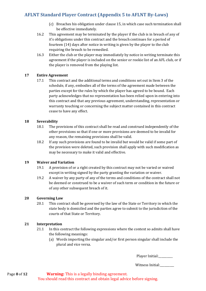- (c) Breaches his obligation under clause 15, in which case such termination shall be effective immediately.
- 16.2 This agreement may be terminated by the player if the club is in breach of any of it's obligations under this contract and the breach continues for a period of fourteen (14) days after notice in writing is given by the player to the club requiring the breach to be remedied.
- 16.3 Either the club or the player may immediately by notice in writing terminate this agreement if the player is included on the senior or rookie list of an AFL club, or if the player is removed from the playing list.

### **17 Entire Agreement**

17.1 This contract and the additional terms and conditions set out in Item 3 of the schedule, if any, embodies all of the terms of the agreement made between the parties except for the rules by which the player has agreed to be bound. Each party acknowledges that no representation has been relied upon in entering into this contract and that any previous agreement, understanding, representation or warranty touching or concerning the subject matter contained in this contract cease to have any effect.

### **18 Severability**

- 18.1 The provisions of this contract shall be read and construed independently of the other provisions so that if one or more provisions are deemed to be invalid for any reason, the remaining provisions shall be valid.
- 18.2 If any such provisions are found to be invalid but would be valid if some part of the provision were deleted, such provision shall apply with such modification as may be necessary to make it valid and effective.

### **19 Waiver and Variation**

- 19.1 A provision of or a right created by this contract may not be varied or waived except in writing signed by the party granting the variation or waiver.
- 19.2 A waiver by any party of any of the terms and conditions of the contract shall not be deemed or construed to be a waiver of such term or condition in the future or of any other subsequent breach of it.

### **20 Governing Law**

20.1 This contract shall be governed by the law of the State or Territory in which the state body is domiciled and the parties agree to submit to the jurisdiction of the courts of that State or Territory.

### **21 Interpretation**

- 21.1 In this contract the following expressions where the context so admits shall have the following meanings:
	- (a) Words importing the singular and/or first person singular shall include the plural and vice versa.

Player Initial: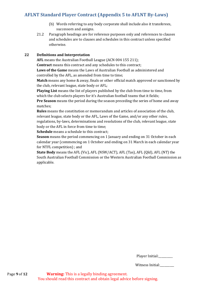- (b) Words referring to any body corporate shall include also it transferees, successors and assigns.
- 21.2 Paragraph headings are for reference purposes only and references to clauses and schedules are to clauses and schedules in this contract unless specified otherwise.

### **22 Definitions and Interpretation**

**AFL** means the Australian Football League (ACN 004 155 211);

**Contract** means this contract and any schedules to this contract;

**Laws of the Game** means the Laws of Australian Football as administered and controlled by the AFL, as amended from time to time;

**Match** means any home & away, finals or other official match approved or sanctioned by the club, relevant league, state body or AFL;

**Playing List** means the list of players published by the club from time to time, from which the club selects players for it's Australian football teams that it fields;

**Pre Season** means the period during the season preceding the series of home and away matches;

**Rules** means the constitution or memorandum and articles of association of the club, relevant league, state body or the AFL, Laws of the Game, and/or any other rules, regulations, by-laws, determinations and resolutions of the club, relevant league, state body or the AFL in force from time to time;

**Schedule** means a schedule to this contract;

**Season** means the period commencing on 1 January and ending on 31 October in each calendar year (commencing on 1 October and ending on 31 March in each calendar year for NTFL competition) ; and

**State Body** means the AFL (Vic), AFL (NSW/ACT), AFL (Tas), AFL (Qld), AFL (NT) the South Australian Football Commission or the Western Australian Football Commission as applicable.

| Player Initial: |  |
|-----------------|--|
|-----------------|--|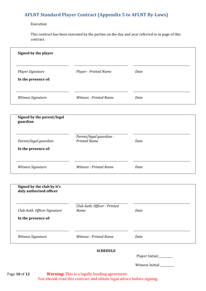#### Execution

This contract has been executed by the parties on the day and year referred to in page of this contract.

| Signed by the player                                  |                                                |      |
|-------------------------------------------------------|------------------------------------------------|------|
| Player Signature<br>In the presence of:               | Player - Printed Name                          | Date |
| Witness Signature                                     | <b>Witness - Printed Name</b>                  | Date |
| Signed by the parent/legal<br>guardian                |                                                |      |
| Parent/legal guardian<br>In the presence of:          | Parent/legal guardian -<br><b>Printed Name</b> | Date |
| Witness Signature                                     | <b>Witness - Printed Name</b>                  | Date |
| Signed by the club by it's<br>duly authorised officer |                                                |      |
| Club Auth. Officer Signature<br>In the presence of:   | Club Auth. Officer - Printed<br>Name           | Date |
| Witness Signature                                     | <b>Witness - Printed Name</b>                  | Date |

### **SCHEDULE**

Player Initial:\_\_\_\_\_\_\_\_\_\_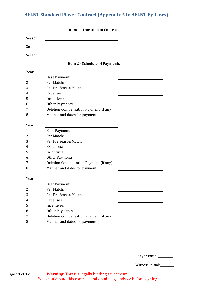|        | <b>Item 1 - Duration of Contract</b>    |  |
|--------|-----------------------------------------|--|
| Season |                                         |  |
| Season |                                         |  |
| Season |                                         |  |
|        |                                         |  |
|        | <b>Item 2 - Schedule of Payments</b>    |  |
| Year   |                                         |  |
| 1      | <b>Base Payment:</b>                    |  |
| 2      | Per Match:                              |  |
| 3      | Per Pre Season Match:                   |  |
| 4      | Expenses:                               |  |
| 5      | Incentives:                             |  |
| 6      | Other Payments:                         |  |
| 7      | Deletion Compensation Payment (if any): |  |
| 8      | Manner and dates for payment:           |  |
|        |                                         |  |
| Year   |                                         |  |
| 1      | <b>Base Payment:</b>                    |  |
| 2      | Per Match:                              |  |
| 3      | Per Pre Season Match:                   |  |
| 4      | Expenses:                               |  |
| 5      | Incentives:                             |  |
| 6      | Other Payments:                         |  |
| 7      | Deletion Compensation Payment (if any): |  |
| 8      | Manner and dates for payment:           |  |
| Year   |                                         |  |
| 1      | <b>Base Payment:</b>                    |  |
| 2      | Per Match:                              |  |
| 3      | Per Pre Season Match:                   |  |
| 4      | Expenses:                               |  |
| 5      | Incentives:                             |  |
| 6      | Other Payments:                         |  |
| 7      | Deletion Compensation Payment (if any): |  |
| 8      | Manner and dates for payment:           |  |
|        |                                         |  |

Player Initial:\_\_\_\_\_\_\_\_